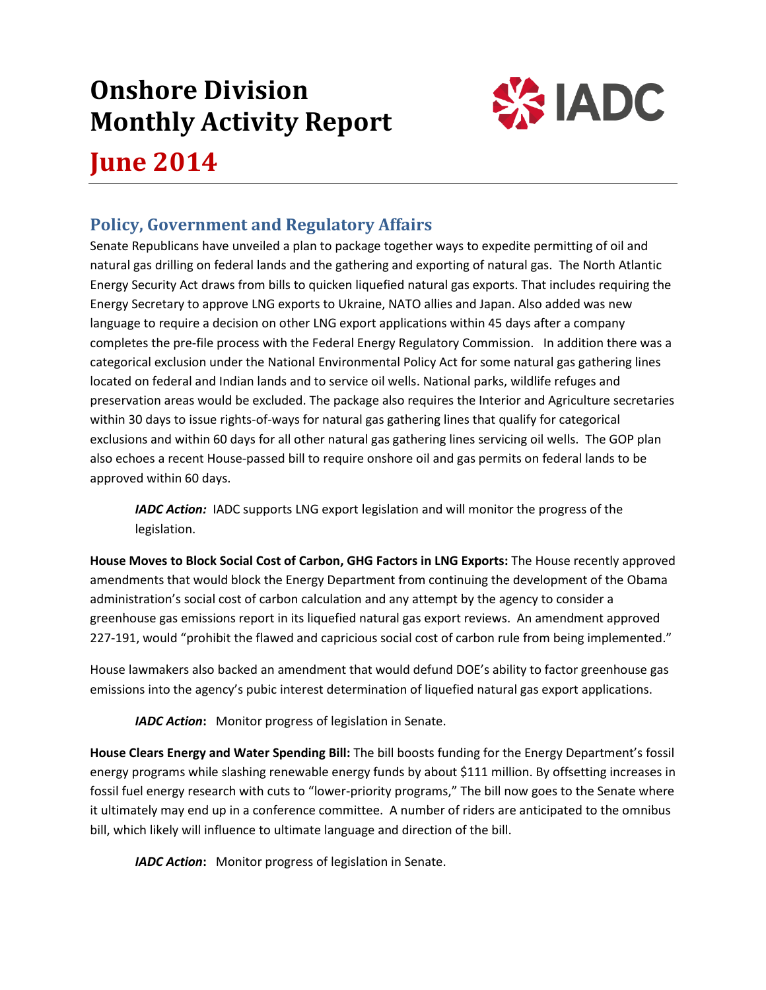# **Onshore Division Monthly Activity Report**



## **June 2014**

## **Policy, Government and Regulatory Affairs**

Senate Republicans have unveiled a plan to package together ways to expedite permitting of oil and natural gas drilling on federal lands and the gathering and exporting of natural gas. The North Atlantic Energy Security Act draws from bills to quicken liquefied natural gas exports. That includes requiring the Energy Secretary to approve LNG exports to Ukraine, NATO allies and Japan. Also added was new language to require a decision on other LNG export applications within 45 days after a company completes the pre-file process with the Federal Energy Regulatory Commission. In addition there was a categorical exclusion under the National Environmental Policy Act for some natural gas gathering lines located on federal and Indian lands and to service oil wells. National parks, wildlife refuges and preservation areas would be excluded. The package also requires the Interior and Agriculture secretaries within 30 days to issue rights-of-ways for natural gas gathering lines that qualify for categorical exclusions and within 60 days for all other natural gas gathering lines servicing oil wells. The GOP plan also echoes a recent House-passed bill to require onshore oil and gas permits on federal lands to be approved within 60 days.

*IADC Action:* IADC supports LNG export legislation and will monitor the progress of the legislation.

**House Moves to Block Social Cost of Carbon, GHG Factors in LNG Exports:** The House recently approved amendments that would block the Energy Department from continuing the development of the Obama administration's social cost of carbon calculation and any attempt by the agency to consider a greenhouse gas emissions report in its liquefied natural gas export reviews. An amendment approved 227-191, would "prohibit the flawed and capricious social cost of carbon rule from being implemented."

House lawmakers also backed an amendment that would defund DOE's ability to factor greenhouse gas emissions into the agency's pubic interest determination of liquefied natural gas export applications.

*IADC Action***:** Monitor progress of legislation in Senate.

**House Clears Energy and Water Spending Bill:** The bill boosts funding for the Energy Department's fossil energy programs while slashing renewable energy funds by about \$111 million. By offsetting increases in fossil fuel energy research with cuts to "lower-priority programs," The bill now goes to the Senate where it ultimately may end up in a conference committee. A number of riders are anticipated to the omnibus bill, which likely will influence to ultimate language and direction of the bill.

*IADC Action***:** Monitor progress of legislation in Senate.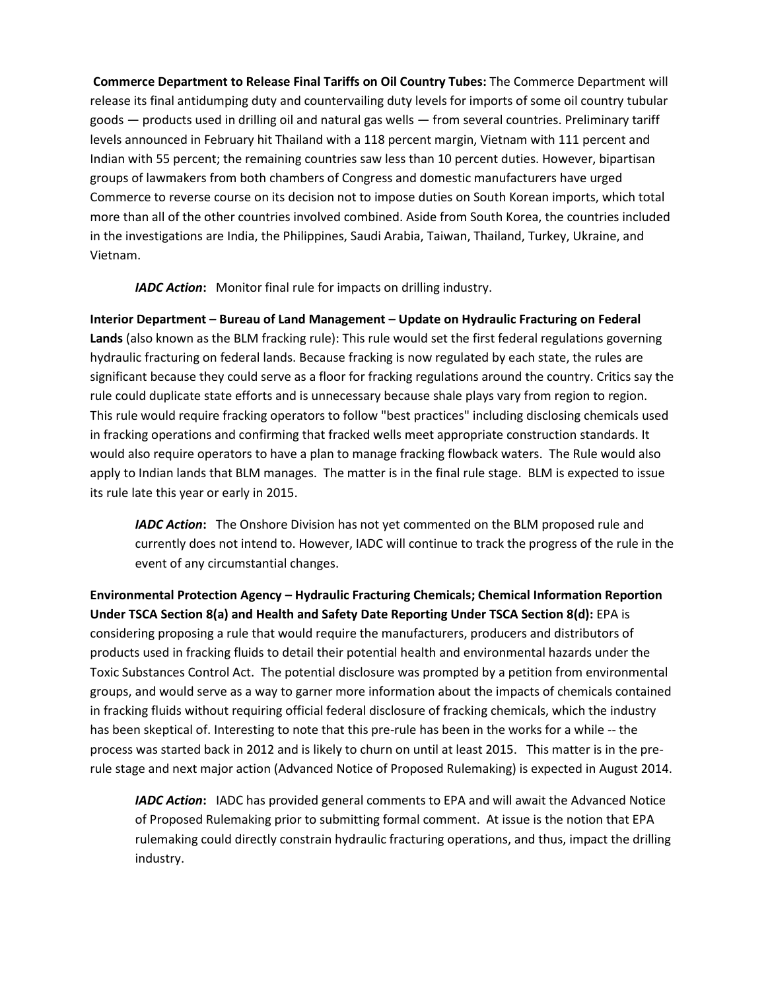**Commerce Department to Release Final Tariffs on Oil Country Tubes:** The Commerce Department will release its final antidumping duty and countervailing duty levels for imports of some oil country tubular goods — products used in drilling oil and natural gas wells — from several countries. Preliminary tariff levels announced in February hit Thailand with a 118 percent margin, Vietnam with 111 percent and Indian with 55 percent; the remaining countries saw less than 10 percent duties. However, bipartisan groups of lawmakers from both chambers of Congress and domestic manufacturers have urged Commerce to reverse course on its decision not to impose duties on South Korean imports, which total more than all of the other countries involved combined. Aside from South Korea, the countries included in the investigations are India, the Philippines, Saudi Arabia, Taiwan, Thailand, Turkey, Ukraine, and Vietnam.

*IADC Action***:** Monitor final rule for impacts on drilling industry.

**Interior Department – Bureau of Land Management – Update on Hydraulic Fracturing on Federal Lands** (also known as the BLM fracking rule): This rule would set the first federal regulations governing hydraulic fracturing on federal lands. Because fracking is now regulated by each state, the rules are significant because they could serve as a floor for fracking regulations around the country. Critics say the rule could duplicate state efforts and is unnecessary because shale plays vary from region to region. This rule would require fracking operators to follow "best practices" including disclosing chemicals used in fracking operations and confirming that fracked wells meet appropriate construction standards. It would also require operators to have a plan to manage fracking flowback waters. The Rule would also apply to Indian lands that BLM manages. The matter is in the final rule stage. BLM is expected to issue its rule late this year or early in 2015.

*IADC Action*: The Onshore Division has not yet commented on the BLM proposed rule and currently does not intend to. However, IADC will continue to track the progress of the rule in the event of any circumstantial changes.

**Environmental Protection Agency – Hydraulic Fracturing Chemicals; Chemical Information Reportion Under TSCA Section 8(a) and Health and Safety Date Reporting Under TSCA Section 8(d):** EPA is considering proposing a rule that would require the manufacturers, producers and distributors of products used in fracking fluids to detail their potential health and environmental hazards under the Toxic Substances Control Act. The potential disclosure was prompted by a petition from environmental groups, and would serve as a way to garner more information about the impacts of chemicals contained in fracking fluids without requiring official federal disclosure of fracking chemicals, which the industry has been skeptical of. Interesting to note that this pre-rule has been in the works for a while -- the process was started back in 2012 and is likely to churn on until at least 2015. This matter is in the prerule stage and next major action (Advanced Notice of Proposed Rulemaking) is expected in August 2014.

*IADC Action***:** IADC has provided general comments to EPA and will await the Advanced Notice of Proposed Rulemaking prior to submitting formal comment. At issue is the notion that EPA rulemaking could directly constrain hydraulic fracturing operations, and thus, impact the drilling industry.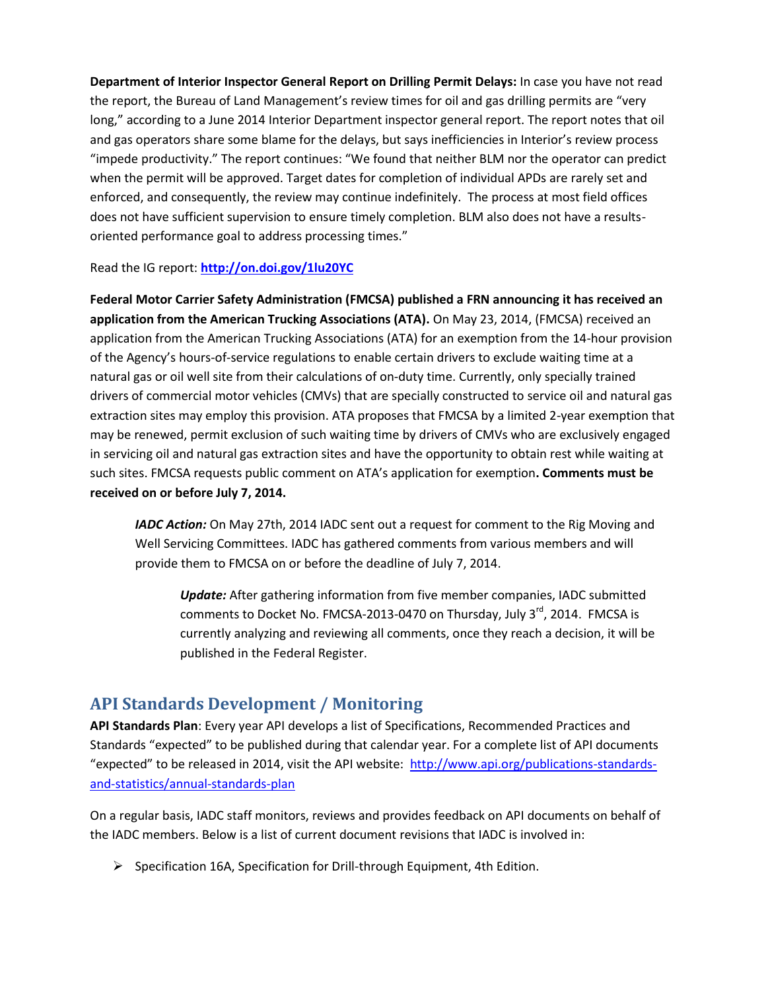**Department of Interior Inspector General Report on Drilling Permit Delays:** In case you have not read the report, the Bureau of Land Management's review times for oil and gas drilling permits are "very long," according to a June 2014 Interior Department inspector general report. The report notes that oil and gas operators share some blame for the delays, but says inefficiencies in Interior's review process "impede productivity." The report continues: "We found that neither BLM nor the operator can predict when the permit will be approved. Target dates for completion of individual APDs are rarely set and enforced, and consequently, the review may continue indefinitely. The process at most field offices does not have sufficient supervision to ensure timely completion. BLM also does not have a resultsoriented performance goal to address processing times."

Read the IG report: **<http://on.doi.gov/1lu20YC>**

**Federal Motor Carrier Safety Administration (FMCSA) published a FRN announcing it has received an application from the American Trucking Associations (ATA).** On May 23, 2014, (FMCSA) received an application from the American Trucking Associations (ATA) for an exemption from the 14-hour provision of the Agency's hours-of-service regulations to enable certain drivers to exclude waiting time at a natural gas or oil well site from their calculations of on-duty time. Currently, only specially trained drivers of commercial motor vehicles (CMVs) that are specially constructed to service oil and natural gas extraction sites may employ this provision. ATA proposes that FMCSA by a limited 2-year exemption that may be renewed, permit exclusion of such waiting time by drivers of CMVs who are exclusively engaged in servicing oil and natural gas extraction sites and have the opportunity to obtain rest while waiting at such sites. FMCSA requests public comment on ATA's application for exemption**. Comments must be received on or before July 7, 2014.**

*IADC Action:* On May 27th, 2014 IADC sent out a request for comment to the Rig Moving and Well Servicing Committees. IADC has gathered comments from various members and will provide them to FMCSA on or before the deadline of July 7, 2014.

*Update:* After gathering information from five member companies, IADC submitted comments to Docket No. FMCSA-2013-0470 on Thursday, July  $3^{rd}$ , 2014. FMCSA is currently analyzing and reviewing all comments, once they reach a decision, it will be published in the Federal Register.

## **API Standards Development / Monitoring**

**API Standards Plan**: Every year API develops a list of Specifications, Recommended Practices and Standards "expected" to be published during that calendar year. For a complete list of API documents "expected" to be released in 2014, visit the API website: [http://www.api.org/publications-standards](http://www.api.org/publications-standards-and-statistics/annual-standards-plan)[and-statistics/annual-standards-plan](http://www.api.org/publications-standards-and-statistics/annual-standards-plan)

On a regular basis, IADC staff monitors, reviews and provides feedback on API documents on behalf of the IADC members. Below is a list of current document revisions that IADC is involved in:

 $\triangleright$  Specification 16A, Specification for Drill-through Equipment, 4th Edition.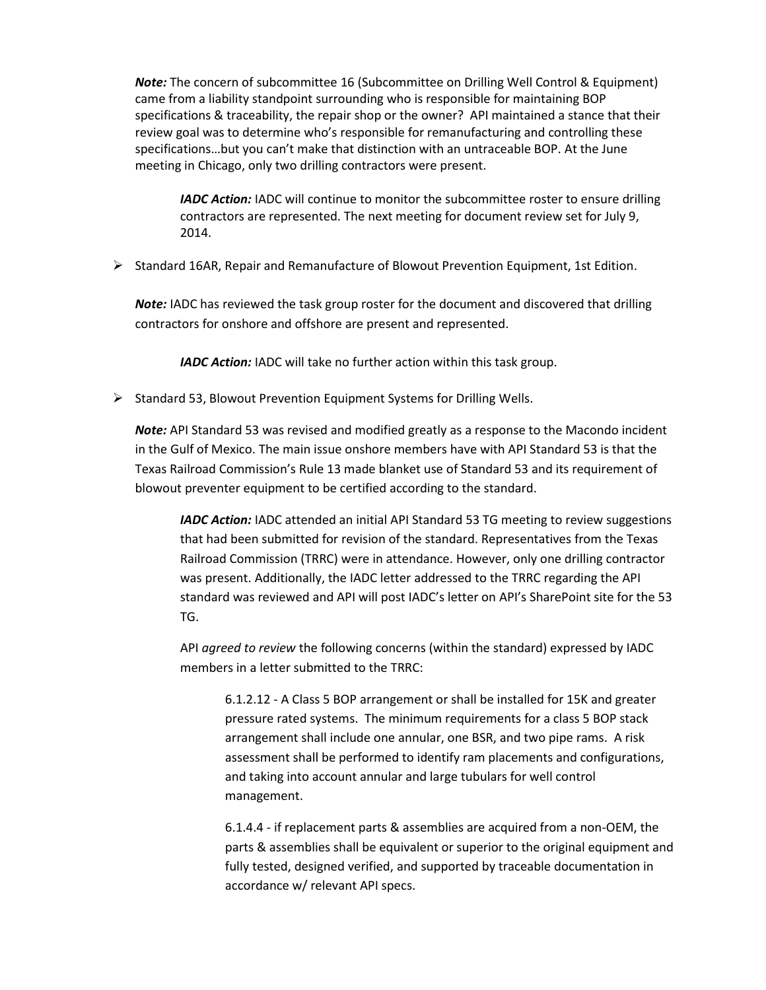*Note:* The concern of subcommittee 16 (Subcommittee on Drilling Well Control & Equipment) came from a liability standpoint surrounding who is responsible for maintaining BOP specifications & traceability, the repair shop or the owner? API maintained a stance that their review goal was to determine who's responsible for remanufacturing and controlling these specifications…but you can't make that distinction with an untraceable BOP. At the June meeting in Chicago, only two drilling contractors were present.

*IADC Action:* IADC will continue to monitor the subcommittee roster to ensure drilling contractors are represented. The next meeting for document review set for July 9, 2014.

 $\triangleright$  Standard 16AR, Repair and Remanufacture of Blowout Prevention Equipment, 1st Edition.

**Note:** IADC has reviewed the task group roster for the document and discovered that drilling contractors for onshore and offshore are present and represented.

*IADC Action:* IADC will take no further action within this task group.

 $\triangleright$  Standard 53, Blowout Prevention Equipment Systems for Drilling Wells.

*Note:* API Standard 53 was revised and modified greatly as a response to the Macondo incident in the Gulf of Mexico. The main issue onshore members have with API Standard 53 is that the Texas Railroad Commission's Rule 13 made blanket use of Standard 53 and its requirement of blowout preventer equipment to be certified according to the standard.

*IADC Action:* IADC attended an initial API Standard 53 TG meeting to review suggestions that had been submitted for revision of the standard. Representatives from the Texas Railroad Commission (TRRC) were in attendance. However, only one drilling contractor was present. Additionally, the IADC letter addressed to the TRRC regarding the API standard was reviewed and API will post IADC's letter on API's SharePoint site for the 53 TG.

API *agreed to review* the following concerns (within the standard) expressed by IADC members in a letter submitted to the TRRC:

6.1.2.12 - A Class 5 BOP arrangement or shall be installed for 15K and greater pressure rated systems. The minimum requirements for a class 5 BOP stack arrangement shall include one annular, one BSR, and two pipe rams. A risk assessment shall be performed to identify ram placements and configurations, and taking into account annular and large tubulars for well control management.

6.1.4.4 - if replacement parts & assemblies are acquired from a non-OEM, the parts & assemblies shall be equivalent or superior to the original equipment and fully tested, designed verified, and supported by traceable documentation in accordance w/ relevant API specs.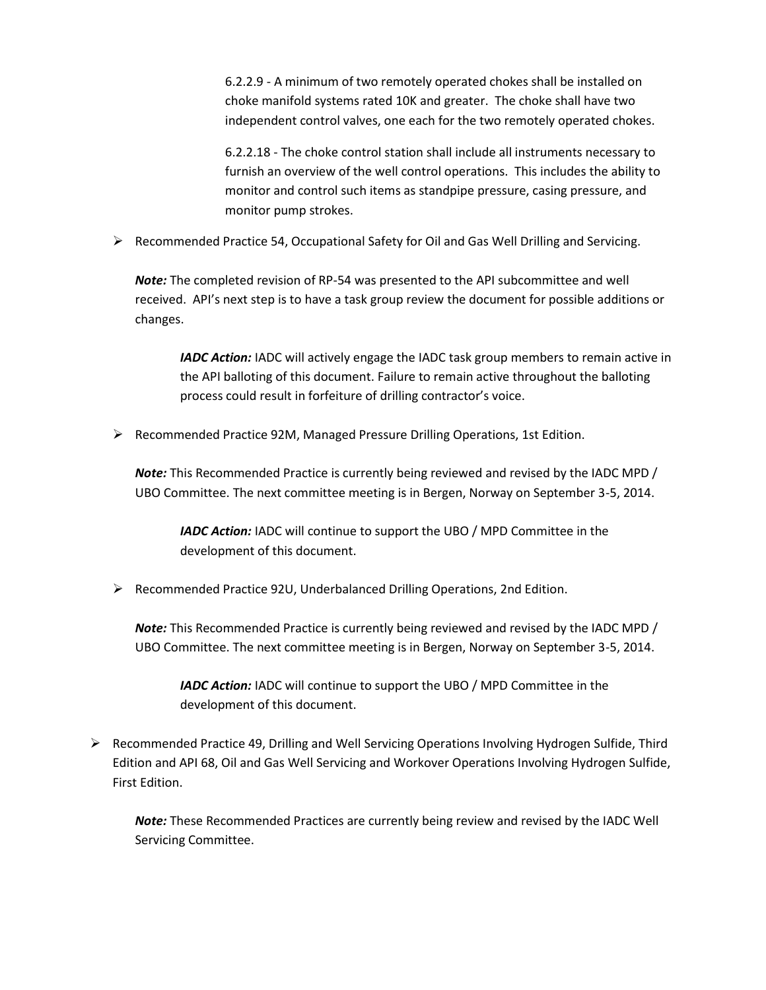6.2.2.9 - A minimum of two remotely operated chokes shall be installed on choke manifold systems rated 10K and greater. The choke shall have two independent control valves, one each for the two remotely operated chokes.

6.2.2.18 - The choke control station shall include all instruments necessary to furnish an overview of the well control operations. This includes the ability to monitor and control such items as standpipe pressure, casing pressure, and monitor pump strokes.

 $\triangleright$  Recommended Practice 54, Occupational Safety for Oil and Gas Well Drilling and Servicing.

*Note:* The completed revision of RP-54 was presented to the API subcommittee and well received. API's next step is to have a task group review the document for possible additions or changes.

*IADC Action:* IADC will actively engage the IADC task group members to remain active in the API balloting of this document. Failure to remain active throughout the balloting process could result in forfeiture of drilling contractor's voice.

 $\triangleright$  Recommended Practice 92M, Managed Pressure Drilling Operations, 1st Edition.

*Note:* This Recommended Practice is currently being reviewed and revised by the IADC MPD / UBO Committee. The next committee meeting is in Bergen, Norway on September 3-5, 2014.

*IADC Action:* IADC will continue to support the UBO / MPD Committee in the development of this document.

 $\triangleright$  Recommended Practice 92U, Underbalanced Drilling Operations, 2nd Edition.

*Note:* This Recommended Practice is currently being reviewed and revised by the IADC MPD / UBO Committee. The next committee meeting is in Bergen, Norway on September 3-5, 2014.

*IADC Action:* IADC will continue to support the UBO / MPD Committee in the development of this document.

 $\triangleright$  Recommended Practice 49, Drilling and Well Servicing Operations Involving Hydrogen Sulfide, Third Edition and API 68, Oil and Gas Well Servicing and Workover Operations Involving Hydrogen Sulfide, First Edition.

*Note:* These Recommended Practices are currently being review and revised by the IADC Well Servicing Committee.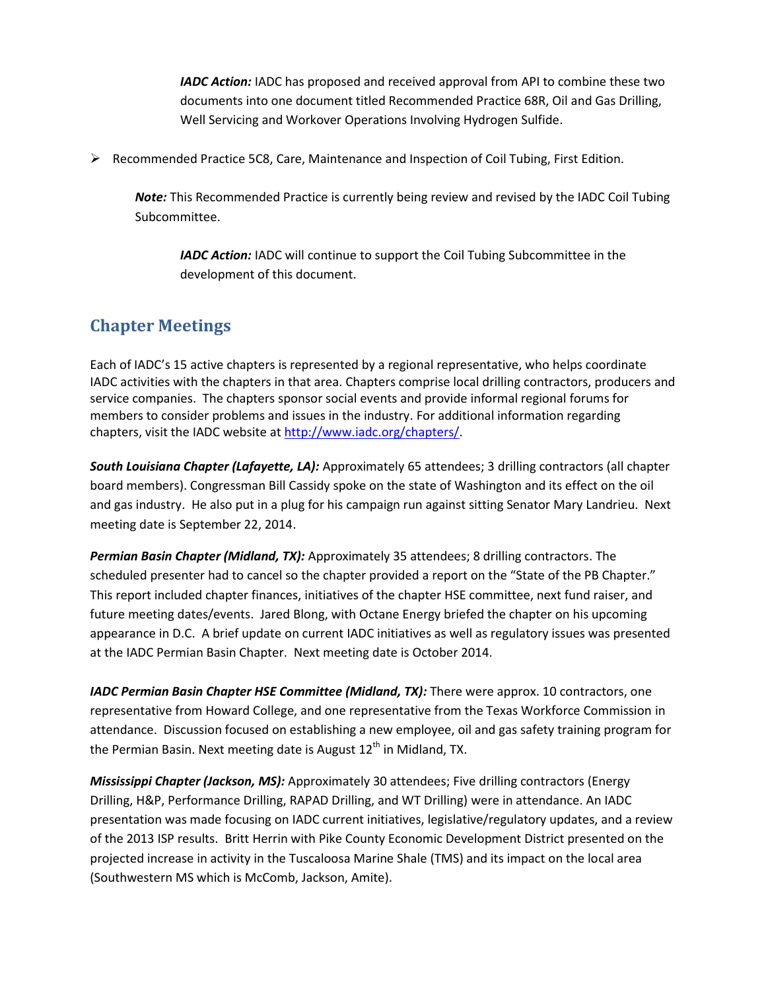*IADC Action:* IADC has proposed and received approval from API to combine these two documents into one document titled Recommended Practice 68R, Oil and Gas Drilling, Well Servicing and Workover Operations Involving Hydrogen Sulfide.

 $\triangleright$  Recommended Practice 5C8, Care, Maintenance and Inspection of Coil Tubing, First Edition.

*Note:* This Recommended Practice is currently being review and revised by the IADC Coil Tubing Subcommittee.

*IADC Action:* IADC will continue to support the Coil Tubing Subcommittee in the development of this document.

#### **Chapter Meetings**

Each of IADC's 15 active chapters is represented by a regional representative, who helps coordinate IADC activities with the chapters in that area. Chapters comprise local drilling contractors, producers and service companies. The chapters sponsor social events and provide informal regional forums for members to consider problems and issues in the industry. For additional information regarding chapters, visit the IADC website at [http://www.iadc.org/chapters/.](http://www.iadc.org/chapters/)

*South Louisiana Chapter (Lafayette, LA):* Approximately 65 attendees; 3 drilling contractors (all chapter board members). Congressman Bill Cassidy spoke on the state of Washington and its effect on the oil and gas industry. He also put in a plug for his campaign run against sitting Senator Mary Landrieu. Next meeting date is September 22, 2014.

*Permian Basin Chapter (Midland, TX):* Approximately 35 attendees; 8 drilling contractors. The scheduled presenter had to cancel so the chapter provided a report on the "State of the PB Chapter." This report included chapter finances, initiatives of the chapter HSE committee, next fund raiser, and future meeting dates/events. Jared Blong, with Octane Energy briefed the chapter on his upcoming appearance in D.C. A brief update on current IADC initiatives as well as regulatory issues was presented at the IADC Permian Basin Chapter. Next meeting date is October 2014.

*IADC Permian Basin Chapter HSE Committee (Midland, TX):* There were approx. 10 contractors, one representative from Howard College, and one representative from the Texas Workforce Commission in attendance. Discussion focused on establishing a new employee, oil and gas safety training program for the Permian Basin. Next meeting date is August  $12<sup>th</sup>$  in Midland, TX.

*Mississippi Chapter (Jackson, MS):* Approximately 30 attendees; Five drilling contractors (Energy Drilling, H&P, Performance Drilling, RAPAD Drilling, and WT Drilling) were in attendance. An IADC presentation was made focusing on IADC current initiatives, legislative/regulatory updates, and a review of the 2013 ISP results. Britt Herrin with Pike County Economic Development District presented on the projected increase in activity in the Tuscaloosa Marine Shale (TMS) and its impact on the local area (Southwestern MS which is McComb, Jackson, Amite).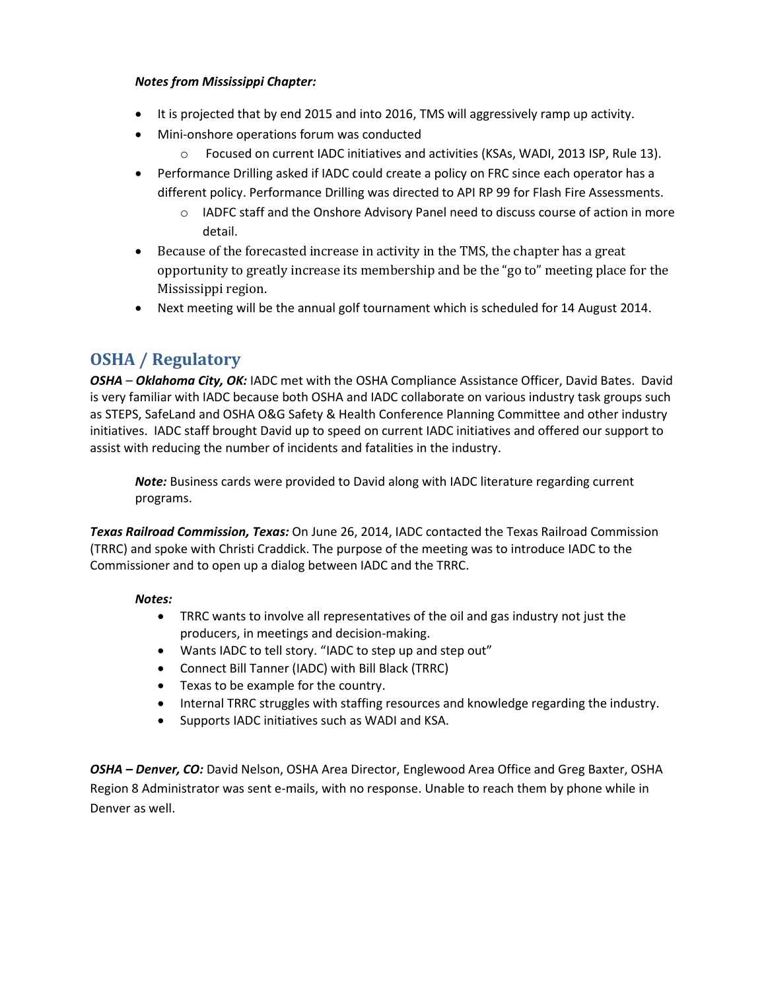#### *Notes from Mississippi Chapter:*

- It is projected that by end 2015 and into 2016, TMS will aggressively ramp up activity.
- Mini-onshore operations forum was conducted
	- o Focused on current IADC initiatives and activities (KSAs, WADI, 2013 ISP, Rule 13).
- Performance Drilling asked if IADC could create a policy on FRC since each operator has a different policy. Performance Drilling was directed to API RP 99 for Flash Fire Assessments.
	- $\circ$  IADFC staff and the Onshore Advisory Panel need to discuss course of action in more detail.
- Because of the forecasted increase in activity in the TMS, the chapter has a great opportunity to greatly increase its membership and be the "go to" meeting place for the Mississippi region.
- Next meeting will be the annual golf tournament which is scheduled for 14 August 2014.

## **OSHA / Regulatory**

*OSHA* – *Oklahoma City, OK:* IADC met with the OSHA Compliance Assistance Officer, David Bates. David is very familiar with IADC because both OSHA and IADC collaborate on various industry task groups such as STEPS, SafeLand and OSHA O&G Safety & Health Conference Planning Committee and other industry initiatives. IADC staff brought David up to speed on current IADC initiatives and offered our support to assist with reducing the number of incidents and fatalities in the industry.

*Note:* Business cards were provided to David along with IADC literature regarding current programs.

*Texas Railroad Commission, Texas:* On June 26, 2014, IADC contacted the Texas Railroad Commission (TRRC) and spoke with Christi Craddick. The purpose of the meeting was to introduce IADC to the Commissioner and to open up a dialog between IADC and the TRRC.

#### *Notes:*

- TRRC wants to involve all representatives of the oil and gas industry not just the producers, in meetings and decision-making.
- Wants IADC to tell story. "IADC to step up and step out"
- Connect Bill Tanner (IADC) with Bill Black (TRRC)
- Texas to be example for the country.
- Internal TRRC struggles with staffing resources and knowledge regarding the industry.
- Supports IADC initiatives such as WADI and KSA.

*OSHA – Denver, CO:* David Nelson, OSHA Area Director, Englewood Area Office and Greg Baxter, OSHA Region 8 Administrator was sent e-mails, with no response. Unable to reach them by phone while in Denver as well.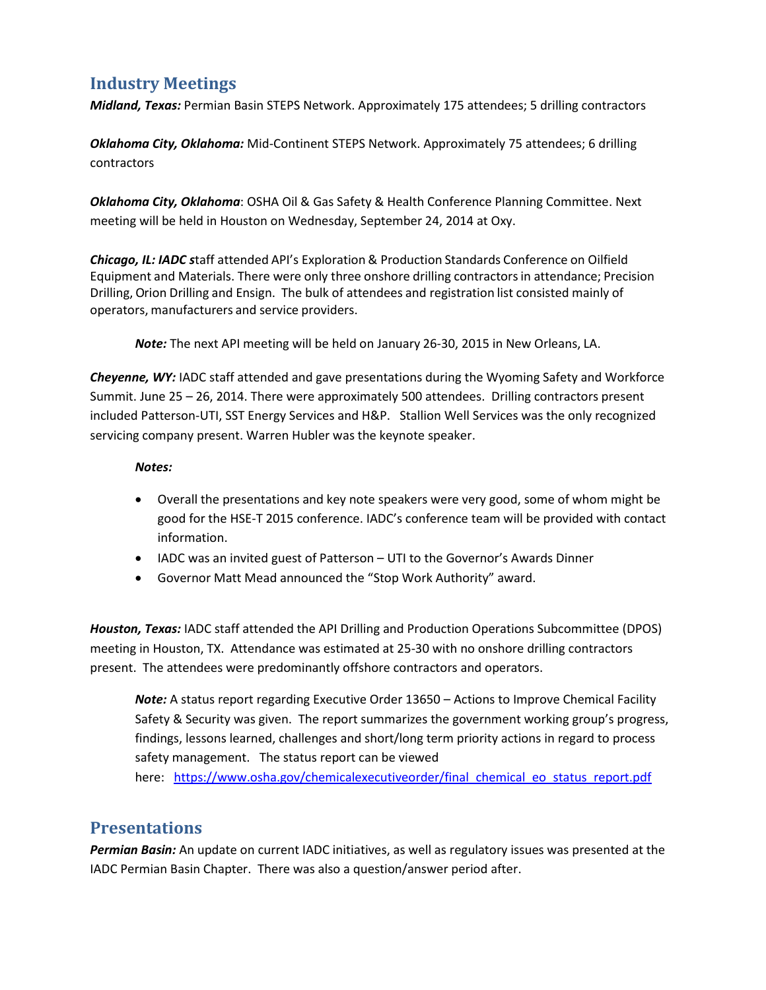## **Industry Meetings**

*Midland, Texas:* Permian Basin STEPS Network. Approximately 175 attendees; 5 drilling contractors

*Oklahoma City, Oklahoma:* Mid-Continent STEPS Network. Approximately 75 attendees; 6 drilling contractors

*Oklahoma City, Oklahoma*: OSHA Oil & Gas Safety & Health Conference Planning Committee. Next meeting will be held in Houston on Wednesday, September 24, 2014 at Oxy.

*Chicago, IL: IADC s*taff attended API's Exploration & Production Standards Conference on Oilfield Equipment and Materials. There were only three onshore drilling contractorsin attendance; Precision Drilling, Orion Drilling and Ensign. The bulk of attendees and registration list consisted mainly of operators, manufacturers and service providers.

*Note:* The next API meeting will be held on January 26‐30, 2015 in New Orleans, LA.

*Cheyenne, WY:* IADC staff attended and gave presentations during the Wyoming Safety and Workforce Summit. June 25 – 26, 2014. There were approximately 500 attendees. Drilling contractors present included Patterson-UTI, SST Energy Services and H&P. Stallion Well Services was the only recognized servicing company present. Warren Hubler was the keynote speaker.

#### *Notes:*

- Overall the presentations and key note speakers were very good, some of whom might be good for the HSE-T 2015 conference. IADC's conference team will be provided with contact information.
- IADC was an invited guest of Patterson UTI to the Governor's Awards Dinner
- Governor Matt Mead announced the "Stop Work Authority" award.

*Houston, Texas:* IADC staff attended the API Drilling and Production Operations Subcommittee (DPOS) meeting in Houston, TX. Attendance was estimated at 25-30 with no onshore drilling contractors present. The attendees were predominantly offshore contractors and operators.

*Note:* A status report regarding Executive Order 13650 – Actions to Improve Chemical Facility Safety & Security was given. The report summarizes the government working group's progress, findings, lessons learned, challenges and short/long term priority actions in regard to process safety management. The status report can be viewed

here: https://www.osha.gov/chemicalexecutiveorder/final chemical eo status report.pdf

#### **Presentations**

*Permian Basin:* An update on current IADC initiatives, as well as regulatory issues was presented at the IADC Permian Basin Chapter. There was also a question/answer period after.